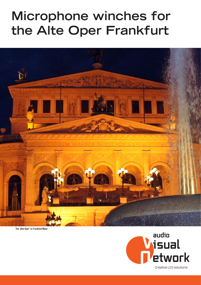# **Microphone winches for the Alte Oper Frankfurt**



The , Alte Oper' in Frankfurt/Main

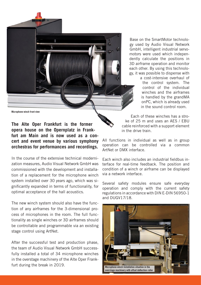

Base on the SmartMotor technology used by Audio Visual Network GmbH, intelligent industrial servomotors were used which independently calculate the positions in 3D airframe operation and monitor each other. By using this technology, it was possible to dispense with

> a cost-intensive overhaul of the control system. The control of the individual winches and the airframes is handled by the grandMA onPC, which is already used in the sound control room.

Microphone winch front view

**The Alte Oper Frankfurt is the former opera house on the Opernplatz in Frankfurt am Main and is now used as a concert and event venue by various symphony orchestras for performances and recordings.**

In the course of the extensive technical modernization measures, Audio Visual Network GmbH was commissioned with the development and installation of a replacement for the microphone winch system installed over 30 years ago, which was significantly expanded in terms of functionality, for optimal acceptance of the hall acoustics.

The new winch system should also have the function of any airframes for the 3-dimensional process of microphones in the room. The full functionality as single winches or 3D airframes should be controllable and programmable via an existing stage control using ArtNet.

After the successful test and production phase, the team of Audio Visual Network GmbH successfully installed a total of 34 microphone winches in the overstage machinery of the Alte Oper Frankfurt during the break in 2019.

Each of these winches has a stroke of 25 m and uses an AES / EBU cable reinforced with a support element in the drive train.

All functions in individual as well as in group operation can be controlled via a common ArtNet or DMX interface.

Each winch also includes an industrial fieldbus interface for real-time feedback. The position and condition of a winch or airframe can be displayed via a network interface.

Several safety modules ensure safe everyday operation and comply with the current safety regulations in accordance with DIN E-DIN 56950-1 and DUGV17/18.

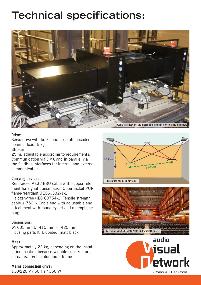# **Technical specifications:**



# **Drive:**

Servo drive with brake and absolute encoder nominal load: 5 kg Stroke:

25 m, adjustable according to requirements. Communication via DMX and in parallel via the fieldbus interfaces for internal and external communication

# **Carrying devices:**

Reinforced AES / EBU cable with support element for signal transmission Outer jacket PUR flame-retardant (IEC60332-1-2)

Halogen-free (IEC 60754-1) Tensile strength cable  $\geq$  750 N Cable end with adjustable end attachment with round eyelet and microphone plug

### **Dimensions:**

W: 635 mm D: 410 mm H: 425 mm Housing parts KTL-coated, matt black

### **Mass:**

Approximately 23 kg, depending on the installation location because variable substructure on natural profile aluminum frame

## **Mains connection drive:**

110/220 V / 50 Hz / 350 W